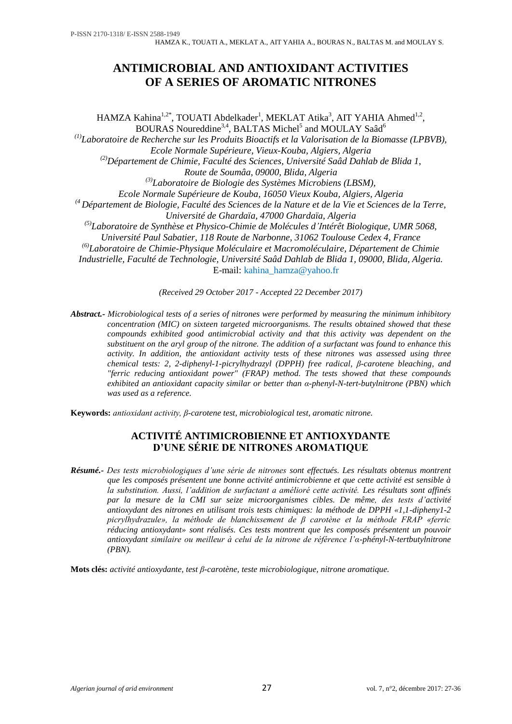# **ANTIMICROBIAL AND ANTIOXIDANT ACTIVITIES OF A SERIES OF AROMATIC NITRONES**

HAMZA Kahina<sup>1,2\*</sup>, TOUATI Abdelkader<sup>1</sup>, MEKLAT Atika<sup>3</sup>, AIT YAHIA Ahmed<sup>1,2</sup>, BOURAS Noureddine<sup>3,4</sup>, BALTAS Michel<sup>5</sup> and MOULAY Saâd<sup>6</sup> *(1) Laboratoire de Recherche sur les Produits Bioactifs et la Valorisation de la Biomasse (LPBVB), Ecole Normale Supérieure, Vieux-Kouba, Algiers, Algeria (2)Département de Chimie, Faculté des Sciences, Université Saâd Dahlab de Blida 1, Route de Soumâa, 09000, Blida, Algeria (3) Laboratoire de Biologie des Systèmes Microbiens (LBSM), Ecole Normale Supérieure de Kouba, 16050 Vieux Kouba, Algiers, Algeria (4 Département de Biologie, Faculté des Sciences de la Nature et de la Vie et Sciences de la Terre, Université de Ghardaïa, 47000 Ghardaïa, Algeria (5) Laboratoire de Synthèse et Physico-Chimie de Molécules d'Intérêt Biologique, UMR 5068, Université Paul Sabatier, 118 Route de Narbonne, 31062 Toulouse Cedex 4, France (6) Laboratoire de Chimie-Physique Moléculaire et Macromoléculaire, Département de Chimie Industrielle, Faculté de Technologie, Université Saâd Dahlab de Blida 1, 09000, Blida, Algeria.*

E-mail: kahina\_hamza@yahoo.fr

*(Received 29 October 2017 - Accepted 22 December 2017)*

*Abstract.- Microbiological tests of a series of nitrones were performed by measuring the minimum inhibitory concentration (MIC) on sixteen targeted microorganisms. The results obtained showed that these compounds exhibited good antimicrobial activity and that this activity was dependent on the substituent on the aryl group of the nitrone. The addition of a surfactant was found to enhance this activity. In addition, the antioxidant activity tests of these nitrones was assessed using three chemical tests: 2, 2-diphenyl-1-picrylhydrazyl (DPPH) free radical, β-carotene bleaching, and "ferric reducing antioxidant power" (FRAP) method. The tests showed that these compounds exhibited an antioxidant capacity similar or better than α-phenyl-N-tert-butylnitrone (PBN) which was used as a reference.*

**Keywords:** *antioxidant activity, β-carotene test, microbiological test, aromatic nitrone.*

## **ACTIVITÉ ANTIMICROBIENNE ET ANTIOXYDANTE D'UNE SÉRIE DE NITRONES AROMATIQUE**

*Résumé.- Des tests microbiologiques d'une série de nitrones sont effectués. Les résultats obtenus montrent que les composés présentent une bonne activité antimicrobienne et que cette activité est sensible à la substitution. Aussi, l'addition de surfactant a amélioré cette activité. Les résultats sont affinés par la mesure de la CMI sur seize microorganismes cibles. De même, des tests d'activité antioxydant des nitrones en utilisant trois tests chimiques: la méthode de DPPH «1,1-dipheny1-2 picrylhydrazule», la méthode de blanchissement de β carotène et la méthode FRAP «ferric réducing antioxydant» sont réalisés. Ces tests montrent que les composés présentent un pouvoir antioxydant similaire ou meilleur à celui de la nitrone de référence l'α-phényl-N-tertbutylnitrone (PBN).* 

**Mots clés:** *activité antioxydante, test β-carotène, teste microbiologique, nitrone aromatique.*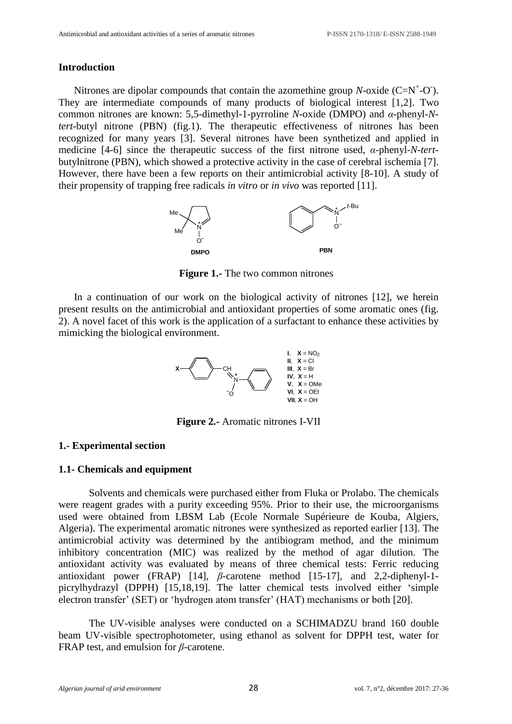#### **Introduction**

Nitrones are dipolar compounds that contain the azomethine group *N*-oxide  $(C=N^+$ -O'). They are intermediate compounds of many products of biological interest [1,2]. Two common nitrones are known: 5,5-dimethyl-1-pyrroline *N*-oxide (DMPO) and *α*-phenyl-*Ntert*-butyl nitrone (PBN) (fig.1). The therapeutic effectiveness of nitrones has been recognized for many years [3]. Several nitrones have been synthetized and applied in medicine [4-6] since the therapeutic success of the first nitrone used, *α*-phenyl-*N*-*tert*butylnitrone (PBN), which showed a protective activity in the case of cerebral ischemia [7]. However, there have been a few reports on their antimicrobial activity [8-10]. A study of their propensity of trapping free radicals *in vitro* or *in vivo* was reported [11].



**Figure 1.-** The two common nitrones

In a continuation of our work on the biological activity of nitrones [12], we herein present results on the antimicrobial and antioxidant properties of some aromatic ones (fig. 2). A novel facet of this work is the application of a surfactant to enhance these activities by mimicking the biological environment.



**Figure 2.-** Aromatic nitrones I-VII

### **1.- Experimental section**

### **1.1- Chemicals and equipment**

Solvents and chemicals were purchased either from Fluka or Prolabo. The chemicals were reagent grades with a purity exceeding 95%. Prior to their use, the microorganisms used were obtained from LBSM Lab (Ecole Normale Supérieure de Kouba, Algiers, Algeria). The experimental aromatic nitrones were synthesized as reported earlier [13]. The antimicrobial activity was determined by the antibiogram method, and the minimum inhibitory concentration (MIC) was realized by the method of agar dilution. The antioxidant activity was evaluated by means of three chemical tests: Ferric reducing antioxidant power (FRAP) [14], *β*-carotene method [15-17], and 2,2-diphenyl-1 picrylhydrazyl (DPPH) [15,18,19]. The latter chemical tests involved either 'simple electron transfer' (SET) or 'hydrogen atom transfer' (HAT) mechanisms or both [20].

The UV-visible analyses were conducted on a SCHIMADZU brand 160 double beam UV-visible spectrophotometer, using ethanol as solvent for DPPH test, water for FRAP test, and emulsion for *β*-carotene.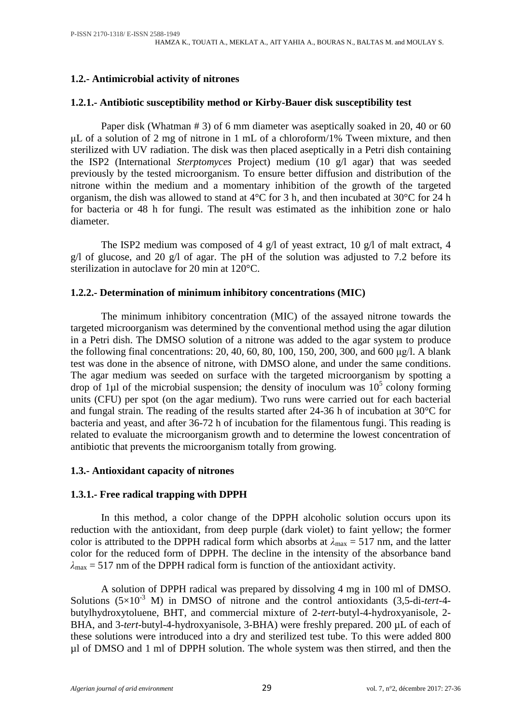## **1.2.- Antimicrobial activity of nitrones**

## **1.2.1.- Antibiotic susceptibility method or [Kirby-Bauer disk susceptibility test](https://www.boundless.com/microbiology/textbooks/boundless-microbiology-textbook/antimicrobial-drugs-13/measuring-drug-susceptibility-157/kirby-bauer-disk-susceptibility-test-791-6152/)**

Paper disk (Whatman # 3) of 6 mm diameter was aseptically soaked in 20, 40 or 60 μL of a solution of 2 mg of nitrone in 1 mL of a chloroform/1% Tween mixture, and then sterilized with UV radiation. The disk was then placed aseptically in a Petri dish containing the ISP2 (International *Sterptomyces* Project) medium (10 g/l agar) that was seeded previously by the tested microorganism. To ensure better diffusion and distribution of the nitrone within the medium and a momentary inhibition of the growth of the targeted organism, the dish was allowed to stand at 4°C for 3 h, and then incubated at 30°C for 24 h for bacteria or 48 h for fungi. The result was estimated as the inhibition zone or halo diameter.

The ISP2 medium was composed of 4 g/l of yeast extract, 10 g/l of malt extract, 4 g/l of glucose, and 20 g/l of agar. The pH of the solution was adjusted to 7.2 before its sterilization in autoclave for 20 min at 120°C.

## **1.2.2.- Determination of minimum inhibitory concentrations (MIC)**

The minimum inhibitory concentration (MIC) of the assayed nitrone towards the targeted microorganism was determined by the conventional method using the agar dilution in a Petri dish. The DMSO solution of a nitrone was added to the agar system to produce the following final concentrations: 20, 40, 60, 80, 100, 150, 200, 300, and 600 μg/l. A blank test was done in the absence of nitrone, with DMSO alone, and under the same conditions. The agar medium was seeded on surface with the targeted microorganism by spotting a drop of 1 $\mu$ l of the microbial suspension; the density of inoculum was  $10^5$  colony forming units (CFU) per spot (on the agar medium). Two runs were carried out for each bacterial and fungal strain. The reading of the results started after 24-36 h of incubation at 30°C for bacteria and yeast, and after 36-72 h of incubation for the filamentous fungi. This reading is related to evaluate the microorganism growth and to determine the lowest concentration of antibiotic that prevents the microorganism totally from growing.

### **1.3.- Antioxidant capacity of nitrones**

## **1.3.1.- Free radical trapping with DPPH**

In this method, a color change of the DPPH alcoholic solution occurs upon its reduction with the antioxidant, from deep purple (dark violet) to faint yellow; the former color is attributed to the DPPH radical form which absorbs at  $\lambda_{\text{max}} = 517$  nm, and the latter color for the reduced form of DPPH. The decline in the intensity of the absorbance band  $\lambda_{\text{max}}$  = 517 nm of the DPPH radical form is function of the antioxidant activity.

A solution of DPPH radical was prepared by dissolving 4 mg in 100 ml of DMSO. Solutions  $(5\times10^{-3}$  M) in DMSO of nitrone and the control antioxidants  $(3.5$ -di-tert-4butylhydroxytoluene, BHT, and commercial mixture of 2-*tert*-butyl-4-hydroxyanisole, 2- BHA, and 3-tert-butyl-4-hydroxyanisole, 3-BHA) were freshly prepared. 200 µL of each of these solutions were introduced into a dry and sterilized test tube. To this were added 800 µl of DMSO and 1 ml of DPPH solution. The whole system was then stirred, and then the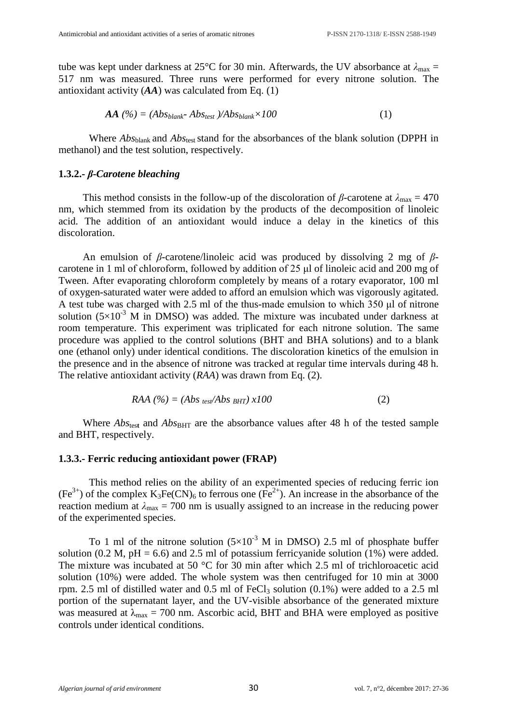tube was kept under darkness at 25°C for 30 min. Afterwards, the UV absorbance at  $\lambda_{\text{max}} =$ 517 nm was measured. Three runs were performed for every nitrone solution. The antioxidant activity (*AA*) was calculated from Eq. (1)

$$
AA\,\left(\frac{\%}{\}= \left( Abs_{blank} - Abs_{test}\right) / Abs_{blank} \times 100\right) \tag{1}
$$

Where *Abs*<sub>blank</sub> and *Abs*<sub>test</sub> stand for the absorbances of the blank solution (DPPH in methanol) and the test solution, respectively.

#### **1.3.2.-** *β***-***Carotene bleaching*

This method consists in the follow-up of the discoloration of  $\beta$ -carotene at  $\lambda_{\text{max}} = 470$ nm, which stemmed from its oxidation by the products of the decomposition of linoleic acid. The addition of an antioxidant would induce a delay in the kinetics of this discoloration.

An emulsion of *β*-carotene/linoleic acid was produced by dissolving 2 mg of *β*carotene in 1 ml of chloroform, followed by addition of 25 μl of linoleic acid and 200 mg of Tween. After evaporating chloroform completely by means of a rotary evaporator, 100 ml of oxygen-saturated water were added to afford an emulsion which was vigorously agitated. A test tube was charged with 2.5 ml of the thus-made emulsion to which 350 μl of nitrone solution  $(5\times10^{-3}$  M in DMSO) was added. The mixture was incubated under darkness at room temperature. This experiment was triplicated for each nitrone solution. The same procedure was applied to the control solutions (BHT and BHA solutions) and to a blank one (ethanol only) under identical conditions. The discoloration kinetics of the emulsion in the presence and in the absence of nitrone was tracked at regular time intervals during 48 h. The relative antioxidant activity (*RAA*) was drawn from Eq. (2).

$$
RAA (%) = (Abstest/AbsBHT) x100
$$
 (2)

Where  $Abs_{test}$  and  $Abs_{BHT}$  are the absorbance values after 48 h of the tested sample and BHT, respectively.

#### **1.3.3.- Ferric reducing antioxidant power (FRAP)**

This method relies on the ability of an experimented species of reducing ferric ion  $(Fe^{3+})$  of the complex  $K_3Fe(CN)_6$  to ferrous one  $(Fe^{2+})$ . An increase in the absorbance of the reaction medium at  $\lambda_{\text{max}} = 700$  nm is usually assigned to an increase in the reducing power of the experimented species.

To 1 ml of the nitrone solution  $(5\times10^{-3}$  M in DMSO) 2.5 ml of phosphate buffer solution (0.2 M, pH = 6.6) and 2.5 ml of potassium ferricyanide solution (1%) were added. The mixture was incubated at 50 °C for 30 min after which 2.5 ml of trichloroacetic acid solution (10%) were added. The whole system was then centrifuged for 10 min at 3000 rpm. 2.5 ml of distilled water and  $0.5$  ml of FeCl<sub>3</sub> solution  $(0.1\%)$  were added to a 2.5 ml portion of the supernatant layer, and the UV-visible absorbance of the generated mixture was measured at  $\lambda_{\text{max}} = 700$  nm. Ascorbic acid, BHT and BHA were employed as positive controls under identical conditions.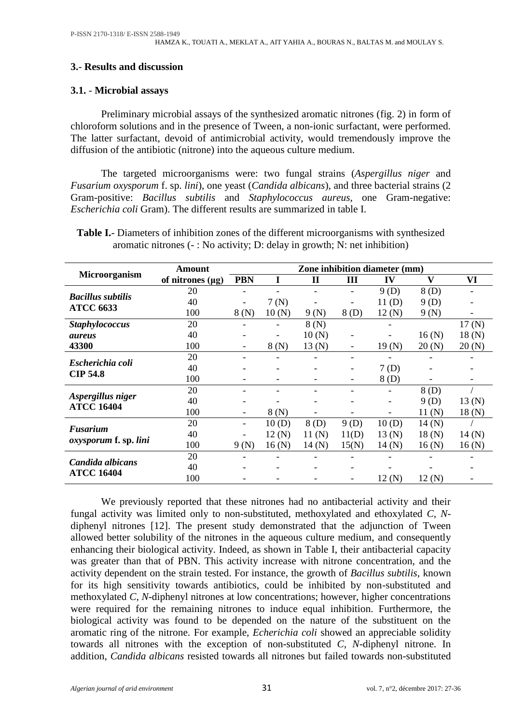## **3.**- **Results and discussion**

## **3.1.** - **Microbial assays**

Preliminary microbial assays of the synthesized aromatic nitrones (fig. 2) in form of chloroform solutions and in the presence of Tween, a non-ionic surfactant, were performed. The latter surfactant, devoid of antimicrobial activity, would tremendously improve the diffusion of the antibiotic (nitrone) into the aqueous culture medium.

The targeted microorganisms were: two fungal strains (*Aspergillus niger* and *Fusarium oxysporum* f. sp. *lini*), one yeast (*Candida albicans*), and three bacterial strains (2 Gram-positive: *Bacillus subtilis* and *Staphylococcus aureus*, one Gram-negative: *Escherichia coli* Gram). The different results are summarized in table I.

|                                        |                       | Zone inhibition diameter (mm) |       |              |       |       |              |        |  |
|----------------------------------------|-----------------------|-------------------------------|-------|--------------|-------|-------|--------------|--------|--|
| Microorganism                          | Amount                |                               |       |              |       |       |              |        |  |
|                                        | of nitrones $(\mu g)$ | <b>PBN</b>                    |       | $\mathbf{I}$ | III   | IV    | $\mathbf{V}$ | VI     |  |
| <b>Bacillus subtilis</b>               | 20                    |                               |       |              |       | 9(D)  | 8(D)         |        |  |
| <b>ATCC 6633</b>                       | 40                    |                               | 7(N)  |              |       | 11(D) | 9(D)         |        |  |
|                                        | 100                   | 8(N)                          | 10(N) | 9(N)         | 8(D)  | 12(N) | 9(N)         |        |  |
| <b>Staphylococcus</b>                  | 20                    |                               |       | 8(N)         |       |       |              | 17(N)  |  |
| <i>aureus</i>                          | 40                    |                               |       | 10(N)        |       |       | 16(N)        | 18(N)  |  |
| 43300                                  | 100                   | -                             | 8(N)  | 13(N)        |       | 19(N) | 20(N)        | 20(N)  |  |
| Escherichia coli                       | 20                    |                               |       |              |       |       |              |        |  |
|                                        | 40                    | $\overline{\phantom{0}}$      | -     |              |       | 7(D)  |              |        |  |
| <b>CIP 54.8</b>                        | 100                   |                               |       |              |       | 8(D)  |              |        |  |
|                                        | 20                    |                               |       |              |       |       | 8(D)         |        |  |
| Aspergillus niger<br><b>ATCC 16404</b> | 40                    |                               |       |              |       |       | 9(D)         | 13(N)  |  |
|                                        | 100                   | $\overline{\phantom{a}}$      | 8(N)  |              |       |       | 11 (N)       | 18(N)  |  |
| Fusarium                               | 20                    | $\overline{\phantom{a}}$      | 10(D) | 8(D)         | 9(D)  | 10(D) | 14(N)        |        |  |
|                                        | 40                    |                               | 12(N) | 11 (N)       | 11(D) | 13(N) | 18(N)        | 14 (N) |  |
| <i>oxysporum</i> f. sp. lini           | 100                   | 9(N)                          | 16(N) | 14 (N)       | 15(N) | 14(N) | 16(N)        | 16(N)  |  |
| Candida albicans                       | 20                    |                               |       |              |       |       |              |        |  |
|                                        | 40                    |                               |       |              |       |       |              |        |  |
| <b>ATCC 16404</b>                      | 100                   |                               |       |              |       | 12(N) | 12(N)        |        |  |

**Table I.**- Diameters of inhibition zones of the different microorganisms with synthesized aromatic nitrones (- : No activity; D: delay in growth; N: net inhibition)

We previously reported that these nitrones had no antibacterial activity and their fungal activity was limited only to non-substituted, methoxylated and ethoxylated *C*, *N*diphenyl nitrones [12]. The present study demonstrated that the adjunction of Tween allowed better solubility of the nitrones in the aqueous culture medium, and consequently enhancing their biological activity. Indeed, as shown in Table I, their antibacterial capacity was greater than that of PBN. This activity increase with nitrone concentration, and the activity dependent on the strain tested. For instance, the growth of *Bacillus subtilis*, known for its high sensitivity towards antibiotics, could be inhibited by non-substituted and methoxylated *C*, *N*-diphenyl nitrones at low concentrations; however, higher concentrations were required for the remaining nitrones to induce equal inhibition. Furthermore, the biological activity was found to be depended on the nature of the substituent on the aromatic ring of the nitrone. For example, *Echerichia coli* showed an appreciable solidity towards all nitrones with the exception of non-substituted *C*, *N*-diphenyl nitrone. In addition, *Candida albicans* resisted towards all nitrones but failed towards non-substituted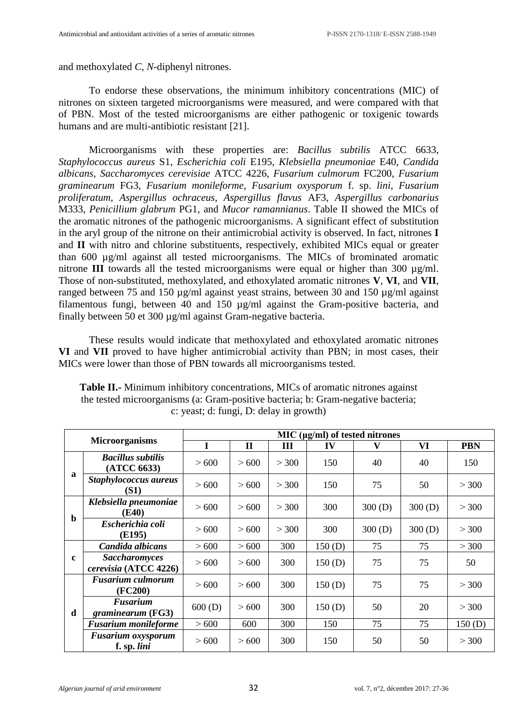and methoxylated *C*, *N*-diphenyl nitrones.

To endorse these observations, the minimum inhibitory concentrations (MIC) of nitrones on sixteen targeted microorganisms were measured, and were compared with that of PBN. Most of the tested microorganisms are either pathogenic or toxigenic towards humans and are multi-antibiotic resistant [21].

Microorganisms with these properties are: *Bacillus subtilis* ATCC 6633, *Staphylococcus aureus* S1, *Escherichia coli* E195, *Klebsiella pneumoniae* E40, *Candida albicans*, *Saccharomyces cerevisiae* ATCC 4226, *Fusarium culmorum* FC200, *Fusarium graminearum* FG3, *Fusarium monileforme*, *Fusarium oxysporum* f. sp. *lini*, *Fusarium proliferatum*, *Aspergillus ochraceus*, *Aspergillus flavus* AF3, *Aspergillus carbonarius* M333, *Penicillium glabrum* PG1, and *Mucor ramannianus*. Table II showed the MICs of the aromatic nitrones of the pathogenic microorganisms. A significant effect of substitution in the aryl group of the nitrone on their antimicrobial activity is observed. In fact, nitrones **I** and **II** with nitro and chlorine substituents, respectively, exhibited MICs equal or greater than 600 µg/ml against all tested microorganisms. The MICs of brominated aromatic nitrone **III** towards all the tested microorganisms were equal or higher than 300 µg/ml. Those of non-substituted, methoxylated, and ethoxylated aromatic nitrones **V**, **VI**, and **VII**, ranged between 75 and 150 µg/ml against yeast strains, between 30 and 150 µg/ml against filamentous fungi, between 40 and 150 µg/ml against the Gram-positive bacteria, and finally between 50 et 300 µg/ml against Gram-negative bacteria.

These results would indicate that methoxylated and ethoxylated aromatic nitrones **VI** and **VII** proved to have higher antimicrobial activity than PBN; in most cases, their MICs were lower than those of PBN towards all microorganisms tested.

| <b>Microorganisms</b> |                                               | MIC $(\mu g/ml)$ of tested nitrones |             |       |        |        |        |            |  |  |
|-----------------------|-----------------------------------------------|-------------------------------------|-------------|-------|--------|--------|--------|------------|--|--|
|                       |                                               | I                                   | $\mathbf H$ | Ш     | IV     | V      | VI     | <b>PBN</b> |  |  |
| $\mathbf a$           | <b>Bacillus subtilis</b><br>(ATCC 6633)       | > 600                               | > 600       | > 300 | 150    | 40     | 40     | 150        |  |  |
|                       | Staphylococcus aureus<br>(S1)                 | > 600                               | > 600       | > 300 | 150    | 75     | 50     | > 300      |  |  |
| $\mathbf b$           | Klebsiella pneumoniae<br>(E40)                | > 600                               | > 600       | > 300 | 300    | 300(D) | 300(D) | > 300      |  |  |
|                       | Escherichia coli<br>(E195)                    | > 600                               | > 600       | > 300 | 300    | 300(D) | 300(D) | > 300      |  |  |
|                       | Candida albicans                              | > 600                               | > 600       | 300   | 150(D) | 75     | 75     | > 300      |  |  |
| $\mathbf{c}$          | <b>Saccharomyces</b><br>cerevisia (ATCC 4226) | > 600                               | >600        | 300   | 150(D) | 75     | 75     | 50         |  |  |
| d                     | <b>Fusarium culmorum</b><br>(FC200)           | > 600                               | > 600       | 300   | 150(D) | 75     | 75     | > 300      |  |  |
|                       | <b>Fusarium</b><br>graminearum (FG3)          | 600(D)                              | > 600       | 300   | 150(D) | 50     | 20     | > 300      |  |  |
|                       | <b>Fusarium monileforme</b>                   | > 600                               | 600         | 300   | 150    | 75     | 75     | 150(D)     |  |  |
|                       | <b>Fusarium oxysporum</b><br>f. sp. lini      | > 600                               | > 600       | 300   | 150    | 50     | 50     | > 300      |  |  |

**Table II.-** Minimum inhibitory concentrations, MICs of aromatic nitrones against the tested microorganisms (a: Gram-positive bacteria; b: Gram-negative bacteria; c: yeast; d: fungi, D: delay in growth)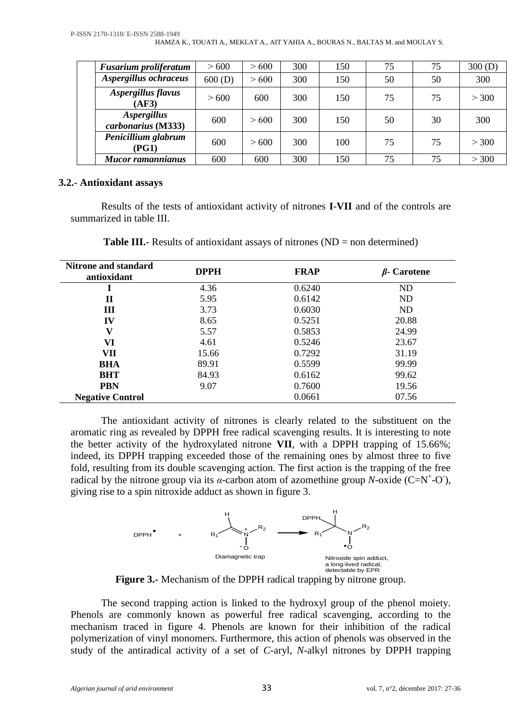| <b>Fusarium proliferatum</b>             | > 600  | > 600 | 300 | 150 | 75 | 75 | 300(D) |
|------------------------------------------|--------|-------|-----|-----|----|----|--------|
| Aspergillus ochraceus                    | 600(D) | > 600 | 300 | 150 | 50 | 50 | 300    |
| Aspergillus flavus<br>(AF3)              | >600   | 600   | 300 | 150 | 75 | 75 | > 300  |
| <b>Aspergillus</b><br>carbonarius (M333) | 600    | >600  | 300 | 150 | 50 | 30 | 300    |
| Penicillium glabrum<br>(PG1)             | 600    | >600  | 300 | 100 | 75 | 75 | > 300  |
| <b>Mucor ramannianus</b>                 | 600    | 600   | 300 | 150 | 75 | 75 | > 300  |

## **3.2.**- **Antioxidant assays**

Results of the tests of antioxidant activity of nitrones **I**-**VII** and of the controls are summarized in table III.

| <b>Nitrone and standard</b><br>antioxidant | <b>DPPH</b> | <b>FRAP</b> | $\beta$ - Carotene |  |
|--------------------------------------------|-------------|-------------|--------------------|--|
|                                            | 4.36        | 0.6240      | <b>ND</b>          |  |
| П                                          | 5.95        | 0.6142      | ND                 |  |
| Ш                                          | 3.73        | 0.6030      | ND                 |  |
| IV                                         | 8.65        | 0.5251      | 20.88              |  |
| v                                          | 5.57        | 0.5853      | 24.99              |  |
| VI                                         | 4.61        | 0.5246      | 23.67              |  |
| VII                                        | 15.66       | 0.7292      | 31.19              |  |
| <b>BHA</b>                                 | 89.91       | 0.5599      | 99.99              |  |
| <b>BHT</b>                                 | 84.93       | 0.6162      | 99.62              |  |
| <b>PBN</b>                                 | 9.07        | 0.7600      | 19.56              |  |
| <b>Negative Control</b>                    |             | 0.0661      | 07.56              |  |

**Table III.**- Results of antioxidant assays of nitrones (ND = non determined)

The antioxidant activity of nitrones is clearly related to the substituent on the aromatic ring as revealed by DPPH free radical scavenging results. It is interesting to note the better activity of the hydroxylated nitrone **VII**, with a DPPH trapping of 15.66%; indeed, its DPPH trapping exceeded those of the remaining ones by almost three to five fold, resulting from its double scavenging action. The first action is the trapping of the free radical by the nitrone group via its  $\alpha$ -carbon atom of azomethine group *N*-oxide (C=N<sup>+</sup>-O), giving rise to a spin nitroxide adduct as shown in figure 3.



**Figure 3.-** Mechanism of the DPPH radical trapping by nitrone group.

The second trapping action is linked to the hydroxyl group of the phenol moiety. Phenols are commonly known as powerful free radical scavenging, according to the mechanism traced in figure 4. Phenols are known for their inhibition of the radical polymerization of vinyl monomers. Furthermore, this action of phenols was observed in the study of the antiradical activity of a set of *C*-aryl, *N*-alkyl nitrones by DPPH trapping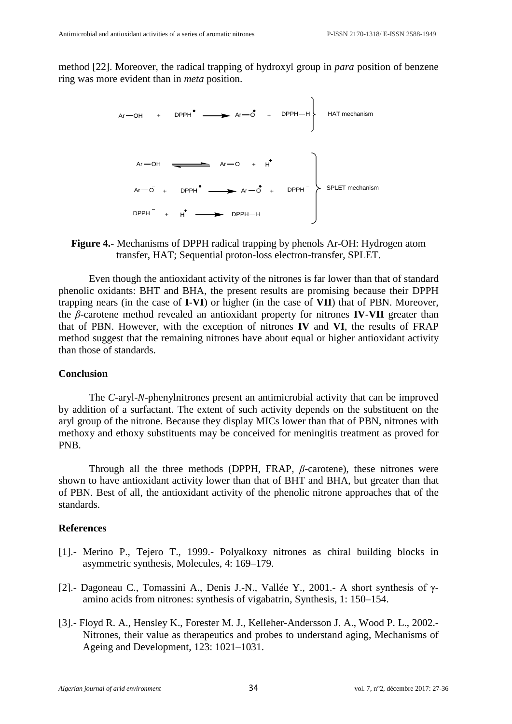method [22]. Moreover, the radical trapping of hydroxyl group in *para* position of benzene ring was more evident than in *meta* position.



#### **Figure 4.-** Mechanisms of DPPH radical trapping by phenols Ar-OH: Hydrogen atom transfer, HAT; Sequential proton-loss electron-transfer, SPLET.

Even though the antioxidant activity of the nitrones is far lower than that of standard phenolic oxidants: BHT and BHA, the present results are promising because their DPPH trapping nears (in the case of **I**-**VI**) or higher (in the case of **VII**) that of PBN. Moreover, the *β*-carotene method revealed an antioxidant property for nitrones **IV**-**VII** greater than that of PBN. However, with the exception of nitrones **IV** and **VI**, the results of FRAP method suggest that the remaining nitrones have about equal or higher antioxidant activity than those of standards.

#### **Conclusion**

The *C*-aryl-*N*-phenylnitrones present an antimicrobial activity that can be improved by addition of a surfactant. The extent of such activity depends on the substituent on the aryl group of the nitrone. Because they display MICs lower than that of PBN, nitrones with methoxy and ethoxy substituents may be conceived for meningitis treatment as proved for PNB.

Through all the three methods (DPPH, FRAP, *β*-carotene), these nitrones were shown to have antioxidant activity lower than that of BHT and BHA, but greater than that of PBN. Best of all, the antioxidant activity of the phenolic nitrone approaches that of the standards.

#### **References**

- [1].- Merino P., Tejero T., 1999.- Polyalkoxy nitrones as chiral building blocks in asymmetric synthesis, Molecules, 4: 169–179.
- [2].- Dagoneau C., Tomassini A., Denis J.-N., Vallée Y., 2001.- A short synthesis of γamino acids from nitrones: synthesis of vigabatrin, Synthesis, 1: 150–154.
- [3].- Floyd R. A., Hensley K., Forester M. J., Kelleher-Andersson J. A., [Wood](http://www.sciencedirect.com/science/article/pii/S0047637401003852) P. L., 2002.- Nitrones, their value as therapeutics and probes to understand aging, Mechanisms of Ageing and Development, 123: 1021–1031.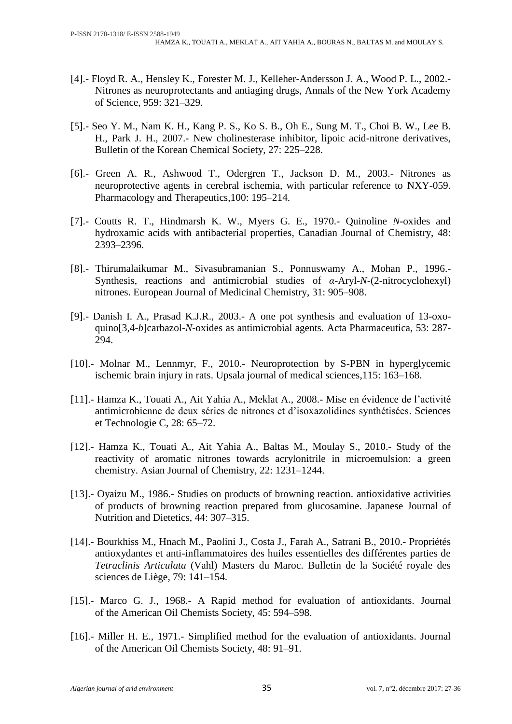- [4].- Floyd R. A., Hensley K., Forester M. J., Kelleher-Andersson J. A., Wood P. L., 2002.- Nitrones as neuroprotectants and antiaging drugs, Annals of the New York Academy of Science, 959: 321–329.
- [5].- Seo Y. M., Nam K. H., Kang P. S., Ko S. B., Oh E., Sung M. T., Choi B. W., Lee B. H., Park J. H., 2007.- New cholinesterase inhibitor, lipoic acid-nitrone derivatives, Bulletin of the Korean Chemical Society, 27: 225–228.
- [6].- Green A. R., Ashwood T., Odergren T., Jackson D. M., 2003.- Nitrones as neuroprotective agents in cerebral ischemia, with particular reference to NXY-059. Pharmacology and Therapeutics,100: 195–214.
- [7].- Coutts R. T., Hindmarsh K. W., Myers G. E., 1970.- Quinoline *N*-oxides and hydroxamic acids with antibacterial properties, Canadian Journal of Chemistry, 48: 2393–2396.
- [8].- Thirumalaikumar M., Sivasubramanian S., Ponnuswamy A., Mohan P., 1996.- Synthesis, reactions and antimicrobial studies of *α*-Aryl-*N*-(2-nitrocyclohexyl) nitrones. European Journal of Medicinal Chemistry, 31: 905–908.
- [9].- Danish I. A., Prasad K.J.R., 2003.- A one pot synthesis and evaluation of 13-oxoquino[3,4-*b*]carbazol-*N*-oxides as antimicrobial agents. Acta Pharmaceutica, 53: 287- 294.
- [10].- Molnar M., Lennmyr, F., 2010.- Neuroprotection by S-PBN in hyperglycemic ischemic brain injury in rats. Upsala journal of medical sciences,115: 163–168.
- [11].- Hamza K., Touati A., Ait Yahia A., Meklat A., 2008.- Mise en évidence de l'activité antimicrobienne de deux séries de nitrones et d'isoxazolidines synthétisées. Sciences et Technologie C, 28: 65–72.
- [12].- Hamza K., Touati A., Ait Yahia A., Baltas M., Moulay S., 2010.- Study of the reactivity of aromatic nitrones towards acrylonitrile in microemulsion: a green chemistry. Asian Journal of Chemistry, 22: 1231–1244.
- [13].- Oyaizu M., 1986.- Studies on products of browning reaction. antioxidative activities of products of browning reaction prepared from glucosamine. Japanese Journal of Nutrition and Dietetics, 44: 307–315.
- [14].- Bourkhiss M., Hnach M., Paolini J., Costa J., Farah A., Satrani B., 2010.- Propriétés antioxydantes et anti-inflammatoires des huiles essentielles des différentes parties de *Tetraclinis Articulata* (Vahl) Masters du Maroc. [Bulletin de la Société royale des](http://road.issn.org/issn/1783-5720-bulletin-de-la-societe-royale-des-sciences-de-liege-)  [sciences de Liège,](http://road.issn.org/issn/1783-5720-bulletin-de-la-societe-royale-des-sciences-de-liege-) 79: 141–154.
- [15].- Marco G. J., 1968.- A Rapid method for evaluation of antioxidants. Journal of the American Oil Chemists Society, 45: 594–598.
- [16].- Miller H. E., 1971.- Simplified method for the evaluation of antioxidants. Journal of the American Oil Chemists Society, 48: 91–91.